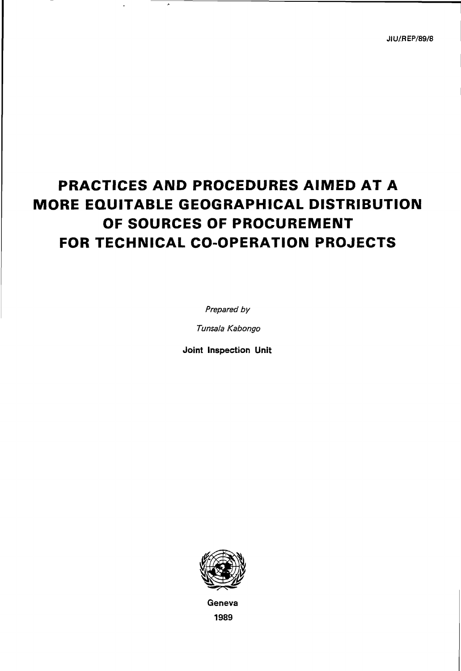JIU/REP/89/8

# PRACTICES AND PROCEDURES AIMED AT A MORE EQUITABLE GEOGRAPHICAL DISTRIBUTION OF SOURCES OF PROCUREMENT FOR TECHNICAL CO-OPERATION PROJECTS

Prepared by

Tunsala Kabongo

Joint Inspection Unit



Geneva 1989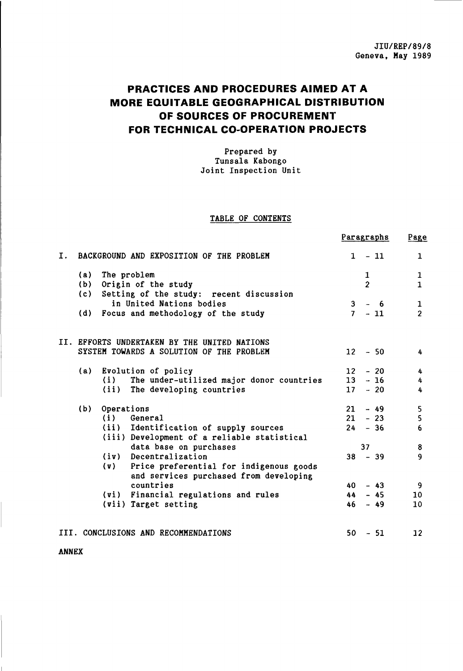# PRACTICES AND PROCEDURES AIMED AT A MORE EQUITABLE GEOGRAPHICAL DISTRIBUTION OF SOURCES OF PROCUREMENT FOR TECHNICAL CO-OPERATION PROJECTS

Prepared by Tunsala Kabongo Joint Inspection Unit

# TABLE OF CONTENTS

|                                      |     |                                                                                       | Paragraphs              | Page              |
|--------------------------------------|-----|---------------------------------------------------------------------------------------|-------------------------|-------------------|
| Ι.                                   |     | BACKGROUND AND EXPOSITION OF THE PROBLEM                                              | $-11$<br>$\mathbf{1}$   | $\mathbf{1}$      |
|                                      | (a) | The problem                                                                           | $\mathbf{1}$            | $\mathbf{1}$      |
|                                      |     | (b) Origin of the study                                                               | $\overline{2}$          | $\mathbf{1}$      |
|                                      |     | (c) Setting of the study: recent discussion                                           |                         |                   |
|                                      |     | in United Nations bodies                                                              | 3 <sup>1</sup><br>$-6$  | $\mathbf{1}$      |
|                                      | (d) | Focus and methodology of the study                                                    | 7 <sup>7</sup><br>$-11$ | $\overline{2}$    |
|                                      |     | II. EFFORTS UNDERTAKEN BY THE UNITED NATIONS                                          |                         |                   |
|                                      |     | SYSTEM TOWARDS A SOLUTION OF THE PROBLEM                                              | $12 - 50$               | 4                 |
|                                      | (a) | Evolution of policy                                                                   | $12 - 20$               | 4                 |
|                                      |     | The under-utilized major donor countries<br>(i)                                       | $13 - 16$               | 4                 |
|                                      |     | (ii)<br>The developing countries                                                      | 17<br>$-20$             | 4                 |
|                                      | (b) | Operations                                                                            | $-49$<br>21             | 5                 |
|                                      |     | $(i)$ General                                                                         | $21 - 23$               | 5                 |
|                                      |     | (ii) Identification of supply sources                                                 | $24 - 36$               | 6                 |
|                                      |     | (iii) Development of a reliable statistical                                           |                         |                   |
|                                      |     | data base on purchases                                                                | 37                      | 8                 |
|                                      |     | (iv) Decentralization                                                                 | $38 - 39$               | $\mathbf{9}$      |
|                                      |     | (v) Price preferential for indigenous goods<br>and services purchased from developing |                         |                   |
|                                      |     | countries                                                                             | $-43$<br>40             | 9                 |
|                                      |     | (vi) Financial regulations and rules                                                  | $-45$<br>44             | 10                |
|                                      |     | (vii) Target setting                                                                  | 46<br>$-49$             | 10                |
| III. CONCLUSIONS AND RECOMMENDATIONS |     |                                                                                       | 50<br>$-51$             | $12 \overline{ }$ |

ANNEX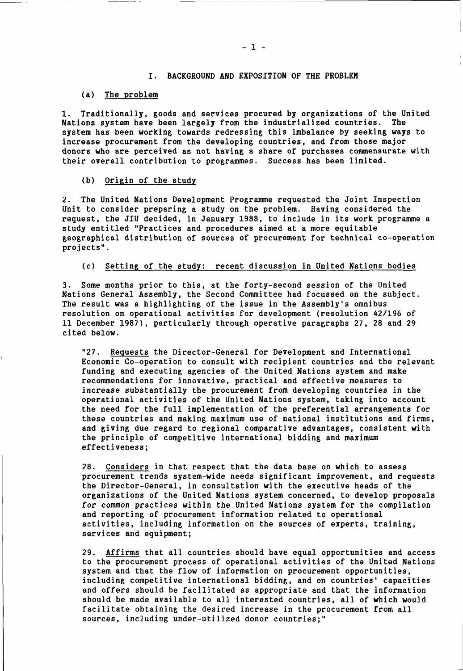# I. BACKGROUND AND EXPOSITION OF THE PROBLEM

#### (a) The problem

1. Traditionally, goods and services procured by organizations of the United Nations system have been largely from the industrialized countries. The system has been working towards redressing this imbalance by seeking ways to increase procurement from the developing countries, and from those major donors who are perceived as not having a share of purchases commensurate with their overall contribution to programmes. Success has been limited.

#### (b) Origin of the study

2. The United Nations Development Programme requested the Joint Inspection Unit to consider preparing a study on the problem. Having considered the request, the JIU decided, in January 1988, to include in its work programme a study entitled "Practices and procedures aimed at a more equitable geographical distribution of sources of procurement for technical co-operation projects".

# (c) Setting of the study: recent discussion in United Nations bodies

3. Some months prior to this, at the forty-second session of the United Nations General Assembly, the Second Committee had focussed on the subject. The result was a highlighting of the issue in the Assembly's omnibus resolution on operational activities for development (resolution 42/196 of 11 December 1987), particularly through operative paragraphs 27, 28 and 29 cited below.

"27. Requests the Director-General for Development and International Economic Co-operation to consult with recipient countries and the relevant funding and executing agencies of the United Nations system and make recommendations for innovative, practical and effective measures to increase substantially the procurement from developing countries in the operational activities of the United Nations system, taking into account the need for the full implementation of the preferential arrangements for these countries and making maximum use of national institutions and firms, and giving due regard to regional comparative advantages, consistent with the principle of competitive international bidding and maximum effectiveness;

28. Considers in that respect that the data base on which to assess procurement trends system-wide needs significant improvement, and requests the Director-General, in consultation with the executive heads of the organizations of the United Nations system concerned, to develop proposals for common practices within the United Nations system for the compilation and reporting of procurement information related to operational activities, including information on the sources of experts, training, services and equipment;

29. Affirms that all countries should have equal opportunities and access to the procurement process of operational activities of the United Nations system and that the flow of information on procurement opportunities, including competitive international bidding, and on countries' capacities and offers should be facilitated as appropriate and that the information should be made available to all interested countries, all of which would facilitate obtaining the desired increase in the procurement from all sources, including under-utilized donor countries;"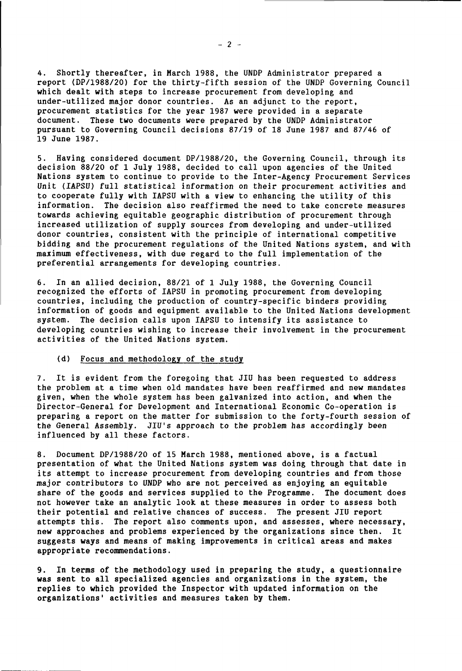4. Shortly thereafter, in March 1988, the UNDP Administrator prepared a report (DP/1988/20) for the thirty-fifth session of the UNDP Governing Council which dealt with steps to increase procurement from developing and under-utilized major donor countries. As an adjunct to the report, procurement statistics for the year 1987 were provided in a separate document. These two documents were prepared by the UNDP Administrator pursuant to Governing Council decisions 87/19 of 18 June 1987 and 87/46 of 19 June 1987.

5. Having considered document DP/1988/20, the Governing Council, through its decision 88/20 of 1 July 1988, decided to call upon agencies of the United Nations system to continue to provide to the Inter-Agency Procurement Services Unit (IAPSU) full statistical information on their procurement activities and to cooperate fully with IAPSU with a view to enhancing the utility of this information. The decision also reaffirmed the need to take concrete measures towards achieving equitable geographic distribution of procurement through increased utilization of supply sources from developing and under-utilized donor countries, consistent with the principle of international competitive bidding and the procurement regulations of the United Nations system, and with maximum effectiveness, with due regard to the full implementation of the preferential arrangements for developing countries.

6. In an allied decision, 88/21 of 1 July 1988, the Governing Council recognized the efforts of IAPSU in promoting procurement from developing countries, including the production of country-specific binders providing information of goods and equipment available to the United Nations development system. The decision calls upon IAPSU to intensify its assistance to developing countries wishing to increase their involvement in the procurement activities of the United Nations system.

#### (d) Focus and methodology of the study

7. It is evident from the foregoing that JIU has been requested to address the problem at a time when old mandates have been reaffirmed and new mandates given, when the whole system has been galvanized into action, and when the Director-General for Development and International Economic Co-operation is preparing a report on the matter for submission to the forty-fourth session of the General Assembly. JIU's approach to the problem has accordingly been influenced by all these factors.

8. Document DP/1988/20 of 15 March 1988, mentioned above, is a factual presentation of what the United Nations system was doing through that date in its attempt to increase procurement from developing countries and from those major contributors to UNDP who are not perceived as enjoying an equitable share of the goods and services supplied to the Programme. The document does not however take an analytic look at these measures in order to assess both their potential and relative chances of success. The present JIU report attempts this. The report also comments upon, and assesses, where necessary, new approaches and problems experienced by the organizations since then. It suggests ways and means of making improvements in critical areas and makes appropriate recommendations.

9. In terms of the methodology used in preparing the study, a questionnaire was sent to all specialized agencies and organizations in the system, the replies to which provided the Inspector with updated information on the organizations' activities and measures taken by them.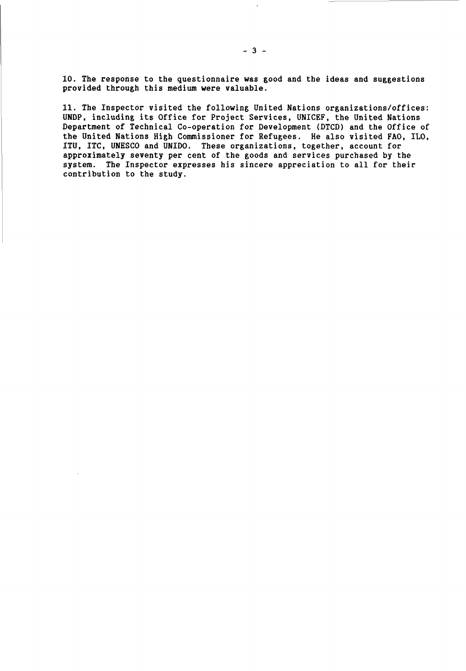10. The response to the questionnaire was good and the ideas and suggestions provided through this medium were valuable.

11. The Inspector visited the following United Nations organizations/offices: UNDP, including its Office for Project Services, UNICEF, the United Nations Department of Technical Co-operation for Development (DTCD) and the Office of the United Nations High Commissioner for Refugees. He also visited FAO, ILO, ITU, ITC, UNESCO and UNIDO. These organizations, together, account for approximately seventy per cent of the goods and services purchased by the system. The Inspector expresses his sincere appreciation to all for their contribution to the study.

 $\bar{\mathbf{r}}$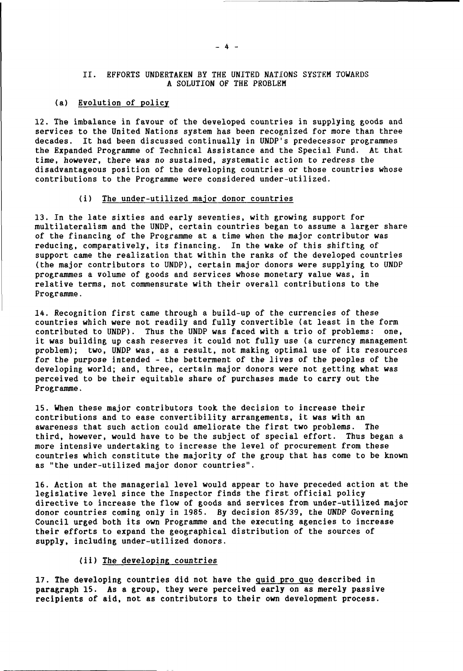# II. EFFORTS UNDERTAKEN BY THE UNITED NATIONS SYSTEM TOWARDS A SOLUTION OF THE PROBLEM

# (a) Evolution of policy

12. The imbalance in favour of the developed countries in supplying goods and services to the United Nations system has been recognized for more than three decades. It had been discussed continually in UNDP's predecessor programmes the Expanded Programme of Technical Assistance and the Special Fund. At that time, however, there was no sustained, systematic action to redress the disadvantageous position of the developing countries or those countries whose contributions to the Programme were considered under-utilized.

#### (i) The under-utilized major donor countries

13. In the late sixties and early seventies, with growing support for multilateralism and the UNDP, certain countries began to assume a larger share of the financing of the Programme at a time when the major contributor was reducing, comparatively, its financing. In the wake of this shifting of support came the realization that within the ranks of the developed countries (the major contributors to UNDP), certain major donors were supplying to UNDP programmes a volume of goods and services whose monetary value was, in relative terms, not commensurate with their overall contributions to the Programme.

14. Recognition first came through a build-up of the currencies of these countries which were not readily and fully convertible (at least in the form contributed to UNDP). Thus the UNDP was faced with a trio of problems: one, it was building up cash reserves it could not fully use (a currency management problem); two, UNDP was, as a result, not making optimal use of its resources for the purpose intended - the betterment of the lives of the peoples of the developing world; and, three, certain major donors were not getting what was perceived to be their equitable share of purchases made to carry out the Programme.

15. When these major contributors took the decision to increase their contributions and to ease convertibility arrangements, it was with an awareness that such action could ameliorate the first two problems. The third, however, would have to be the subject of special effort. Thus began a more intensive undertaking to increase the level of procurement from these countries which constitute the majority of the group that has come to be known as "the under-utilized major donor countries".

16. Action at the managerial level would appear to have preceded action at the legislative level since the Inspector finds the first official policy directive to increase the flow of goods and services from under-utilized major donor countries coming only in 1985. By decision 85/39, the UNDP Governing Council urged both its own Programme and the executing agencies to increase their efforts to expand the geographical distribution of the sources of supply, including under-utilized donors.

# (ii) The developing countries

17. The developing countries did not have the quid pro quo described in paragraph 15. As a group, they were perceived early on as merely passive recipients of aid, not as contributors to their own development process.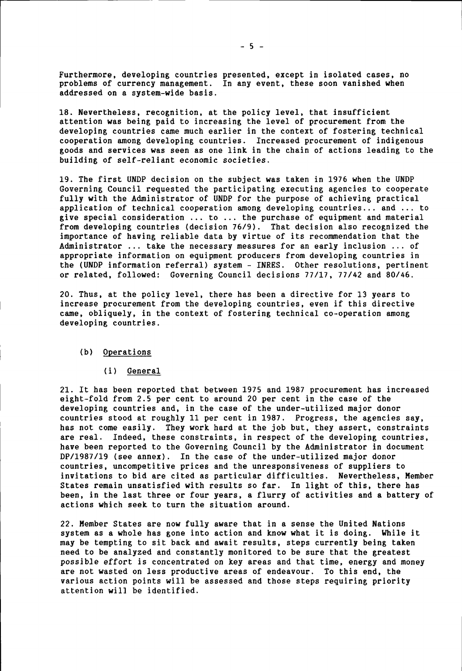Furthermore, developing countries presented, except in isolated cases, no problems of currency management. In any event, these soon vanished when addressed on a system-wide basis.

18. Nevertheless, recognition, at the policy level, that insufficient attention was being paid to increasing the level of procurement from the developing countries came much earlier in the context of fostering technical cooperation among developing countries. Increased procurement of indigenous goods and services was seen as one link in the chain of actions leading to the building of self-reliant economic societies.

19. The first UNDP decision on the subject was taken in 1976 when the UNDP Governing Council requested the participating executing agencies to cooperate fully with the Administrator of UNDP for the purpose of achieving practical application of technical cooperation among developing countries... and ... to give special consideration ... to ... the purchase of equipment and material from developing countries (decision 76/9). That decision also recognized the importance of having reliable data by virtue of its recommendation that the Administrator ... take the necessary measures for an early inclusion ... of appropriate information on equipment producers from developing countries in the (UNDP information referral) system - INRES. Other resolutions, pertinent or related, followed: Governing Council decisions 77/17, 77/42 and 80/46.

20. Thus, at the policy level, there has been a directive for 13 years to increase procurement from the developing countries, even if this directive came, obliquely, in the context of fostering technical co-operation among developing countries.

#### (b) Operations

#### (i) General

21. It has been reported that between 1975 and 1987 procurement has increased eight-fold from 2.5 per cent to around 20 per cent in the case of the developing countries and, in the case of the under-utilized major donor countries stood at roughly 11 per cent in 1987. Progress, the agencies say, has not come easily. They work hard at the job but, they assert, constraints are real. Indeed, these constraints, in respect of the developing countries, have been reported to the Governing Council by the Administrator in document DP/1987/19 (see annex). In the case of the under-utilized major donor countries, uncompetitive prices and the unresponsiveness of suppliers to invitations to bid are cited as particular difficulties. Nevertheless, Member States remain unsatisfied with results so far. In light of this, there has been, in the last three or four years, a flurry of activities and a battery of actions which seek to turn the situation around.

22. Member States are now fully aware that in a sense the United Nations system as a whole has gone into action and know what it is doing. While it may be tempting to sit back and await results, steps currently being taken need to be analyzed and constantly monitored to be sure that the greatest possible effort is concentrated on key areas and that time, energy and money are not wasted on less productive areas of endeavour. To this end, the various action points will be assessed and those steps requiring priority attention will be identified.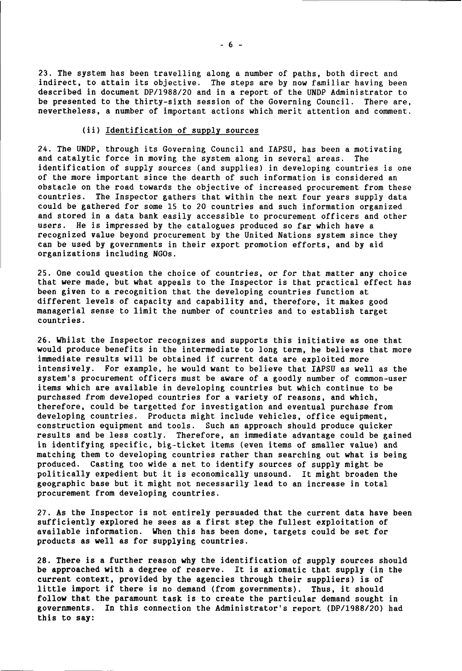23. The system has been travelling along a number of paths, both direct and indirect, to attain its objective. The steps are by now familiar having been described in document DP/1988/20 and in a report of the UNDP Administrator to be presented to the thirty-sixth session of the Governing Council. There are, nevertheless, a number of important actions which merit attention and comment.

# (ii) Identification of supply sources

24. The UNDP, through its Governing Council and IAPSU, has been a motivating and catalytic force in moving the system along in several areas. The identification of supply sources (and supplies) in developing countries is one of the more important since the dearth of such information is considered an obstacle on the road towards the objective of increased procurement from these countries. The Inspector gathers that within the next four years supply data could be gathered for some 15 to 20 countries and such information organized and stored in a data bank easily accessible to procurement officers and other users. He is impressed by the catalogues produced so far which have a recognized value beyond procurement by the United Nations system since they can be used by governments in their export promotion efforts, and by aid organizations including NGOs.

25. One could question the choice of countries, or for that matter any choice that were made, but what appeals to the Inspector is that practical effect has been given to a recognition that the developing countries function at different levels of capacity and capability and, therefore, it makes good managerial sense to limit the number of countries and to establish target countries.

26. Whilst the Inspector recognizes and supports this initiative as one that would produce benefits in the intermediate to long term, he believes that more immediate results will be obtained if current data are exploited more intensively. For example, he would want to believe that IAPSU as well as the system's procurement officers must be aware of a goodly number of common-user items which are available in developing countries but which continue to be purchased from developed countries for a variety of reasons, and which, therefore, could be targetted for investigation and eventual purchase from developing countries. Products might include vehicles, office equipment, construction equipment and tools. Such an approach should produce quicker results and be less costly. Therefore, an immediate advantage could be gained in identifying specific, big-ticket items (even items of smaller value) and matching them to developing countries rather than searching out what is being produced. Casting too wide a net to identify sources of supply might be politically expedient but it is economically unsound. It might broaden the geographic base but it might not necessarily lead to an increase in total procurement from developing countries.

27. As the Inspector is not entirely persuaded that the current data have been sufficiently explored he sees as a first step the fullest exploitation of available information. When this has been done, targets could be set for products as well as for supplying countries.

28. There is a further reason why the identification of supply sources should be approached with a degree of reserve. It is axiomatic that supply (in the current context, provided by the agencies through their suppliers) is of little import if there is no demand (from governments). Thus, it should follow that the paramount task is to create the particular demand sought in governments. In this connection the Administrator's report (DP/1988/20) had this to say: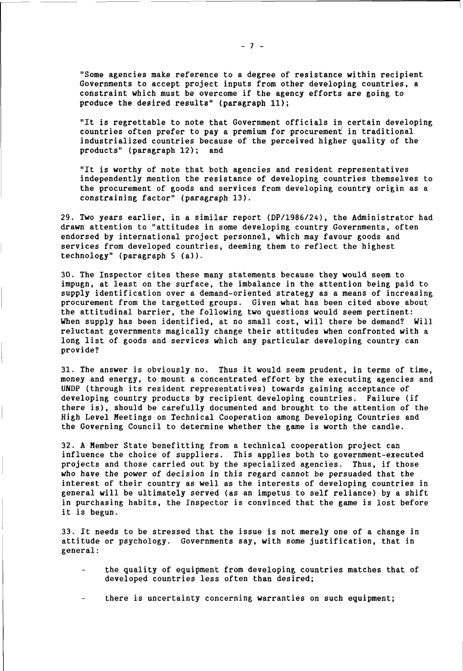"Some agencies make reference to a degree of resistance within recipient Governments to accept project inputs from other developing countries, a constraint which must be overcome if the agency efforts are going to produce the desired results" (paragraph 11);

"It is regrettable to note that Government officials in certain developing countries often prefer to pay a premium for procurement in traditional industrialized countries because of the perceived higher quality of the products" (paragraph 12); and

"It is worthy of note that both agencies and resident representatives independently mention the resistance of developing countries themselves to the procurement of goods and services from developing country origin as a constraining factor" (paragraph 13).

29. Two years earlier, in a similar report (DP/1986/24), the Administrator had drawn attention to "attitudes in some developing country Governments, often endorsed by international project personnel, which may favour goods and services from developed countries, deeming them to reflect the highest technology" (paragraph 5 (a)).

30. The Inspector cites these many statements because they would seem to impugn, at least on the surface, the imbalance in the attention being paid to supply identification over a demand-oriented strategy as a means of increasing procurement from the targetted groups. Given what has been cited above about the attitudinal barrier, the following two questions would seem pertinent: When supply has been identified, at no small cost, will there be demand? Will reluctant governments magically change their attitudes when confronted with a long list of goods and services which any particular developing country can provide?

31. The answer is obviously no. Thus it would seem prudent, in terms of time, money and energy, to mount a concentrated effort by the executing agencies and UNDP (through its resident representatives) towards gaining acceptance of developing country products by recipient developing countries. Failure (if there is), should be carefully documented and brought to the attention of the High Level Meetings on Technical Cooperation among Developing Countries and the Governing Council to determine whether the game is worth the candle.

32. A Member State benefitting from a technical cooperation project can influence the choice of suppliers. This applies both to government-executed projects and those carried out by the specialized agencies. Thus, if those who have the power of decision in this regard cannot be persuaded that the interest of their country as well as the interests of developing countries in general will be ultimately served (as an impetus to self reliance) by a shift in purchasing habits, the Inspector is convinced that the game is lost before it is begun.

33. It needs to be stressed that the issue is not merely one of a change in attitude or psychology. Governments say, with some justification, that in general:

- the quality of equipment from developing countries matches that of developed countries less often than desired;
- there is uncertainty concerning warranties on such equipment;

 $-7 -$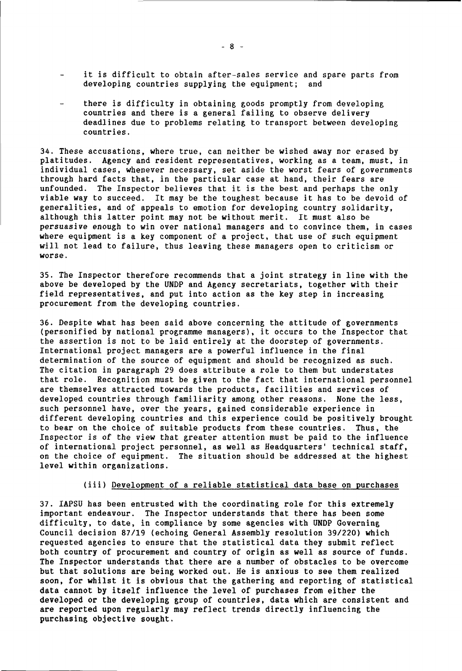- it is difficult to obtain after-sales service and spare parts from developing countries supplying the equipment; and
- there is difficulty in obtaining goods promptly from developing countries and there is a general failing to observe delivery deadlines due to problems relating to transport between developing countries.

34. These accusations, where true, can neither be wished away nor erased by platitudes. Agency and resident representatives, working as a team, must, in individual cases, whenever necessary, set aside the worst fears of governments through hard facts that, in the particular case at hand, their fears are unfounded. The Inspector believes that it is the best and perhaps the only viable way to succeed. It may be the toughest because it has to be devoid of generalities, and of appeals to emotion for developing country solidarity, although this latter point may not be without merit. It must also be persuasive enough to win over national managers and to convince them, in cases where equipment is a key component of a project, that use of such equipment will not lead to failure, thus leaving these managers open to criticism or worse.

35. The Inspector therefore recommends that a joint strategy in line with the above be developed by the UNDP and Agency secretariats, together with their field representatives, and put into action as the key step in increasing procurement from the developing countries.

36. Despite what has been said above concerning the attitude of governments (personified by national programme managers), it occurs to the Inspector that the assertion is not to be laid entirely at the doorstep of governments. International project managers are a powerful influence in the final determination of the source of equipment and should be recognized as such. The citation in paragraph 29 does attribute a role to them but understates that role. Recognition must be given to the fact that international personnel are themselves attracted towards the products, facilities and services of developed countries through familiarity among other reasons. None the less, such personnel have, over the years, gained considerable experience in different developing countries and this experience could be positively brought to bear on the choice of suitable products from these countries. Thus, the Inspector is of the view that greater attention must be paid to the influence of international project personnel, as well as Headquarters' technical staff, on the choice of equipment. The situation should be addressed at the highest level within organizations.

# (iii) Development of a reliable statistical data base on purchases

37. IAPSU has been entrusted with the coordinating role for this extremely important endeavour. The Inspector understands that there has been some difficulty, to date, in compliance by some agencies with UNDP Governing Council decision 87/19 (echoing General Assembly resolution 39/220) which requested agencies to ensure that the statistical data they submit reflect both country of procurement and country of origin as well as source of funds. The Inspector understands that there are a number of obstacles to be overcome but that solutions are being worked out. He is anxious to see them realized soon, for whilst it is obvious that the gathering and reporting of statistical data cannot by itself influence the level of purchases from either the developed or the developing group of countries, data which are consistent and are reported upon regularly may reflect trends directly influencing the purchasing objective sought.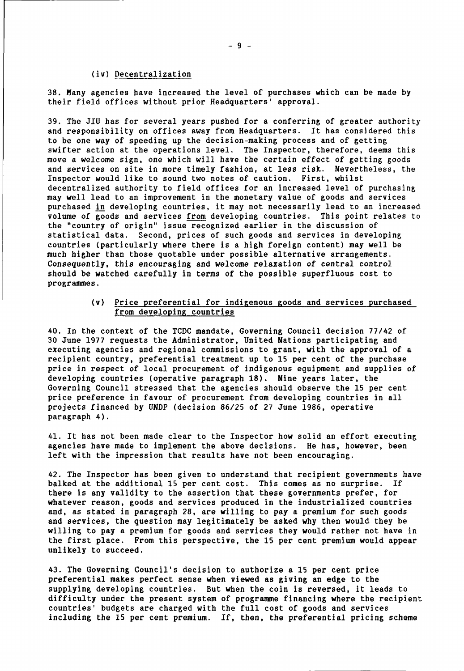# (iv) Decentralization

38. Many agencies have increased the level of purchases which can be made by their field offices without prior Headquarters' approval.

39. The JIU has for several years pushed for a conferring of greater authority and responsibility on offices away from Headquarters. It has considered this to be one way of speeding up the decision-making process and of getting swifter action at the operations level. The Inspector, therefore, deems this move a welcome sign, one which will have the certain effect of getting goods and services on site in more timely fashion, at less risk. Nevertheless, the Inspector would like to sound two notes of caution. First, whilst decentralized authority to field offices for an increased level of purchasing may well lead to an improvement in the monetary value of goods and services purchased in developing countries, it may not necessarily lead to an increased volume of goods and services from developing countries. This point relates to the "country of origin" issue recognized earlier in the discussion of statistical data. Second, prices of such goods and services in developing countries (particularly where there is a high foreign content) may well be much higher than those quotable under possible alternative arrangements. Consequently, this encouraging and welcome relaxation of central control should be watched carefully in terms of the possible superfluous cost to programmes.

# (v) Price preferential for indigenous goods and services purchased from developing countries

40. In the context of the TCDC mandate, Governing Council decision 77/42 of 30 June 1977 requests the Administrator, United Nations participating and executing agencies and regional commissions to grant, with the approval of a recipient country, preferential treatment up to 15 per cent of the purchase price in respect of local procurement of indigenous equipment and supplies of developing countries (operative paragraph 18). Nine years later, the Governing Council stressed that the agencies should observe the 15 per cent price preference in favour of procurement from developing countries in all projects financed by UNDP (decision 86/25 of 27 June 1986, operative paragraph 4).

41. It has not been made clear to the Inspector how solid an effort executing agencies have made to implement the above decisions. He has, however, been left with the impression that results have not been encouraging.

42. The Inspector has been given to understand that recipient governments have balked at the additional 15 per cent cost. This comes as no surprise. If there is any validity to the assertion that these governments prefer, for whatever reason, goods and services produced in the industrialized countries and, as stated in paragraph 28, are willing to pay a premium for such goods and services, the question may legitimately be asked why then would they be willing to pay a premium for goods and services they would rather not have in the first place. From this perspective, the 15 per cent premium would appear unlikely to succeed.

43. The Governing Council's decision to authorize a 15 per cent price preferential makes perfect sense when viewed as giving an edge to the supplying developing countries. But when the coin is reversed, it leads to difficulty under the present system of programme financing where the recipient countries' budgets are charged with the full cost of goods and services including the 15 per cent premium. If, then, the preferential pricing scheme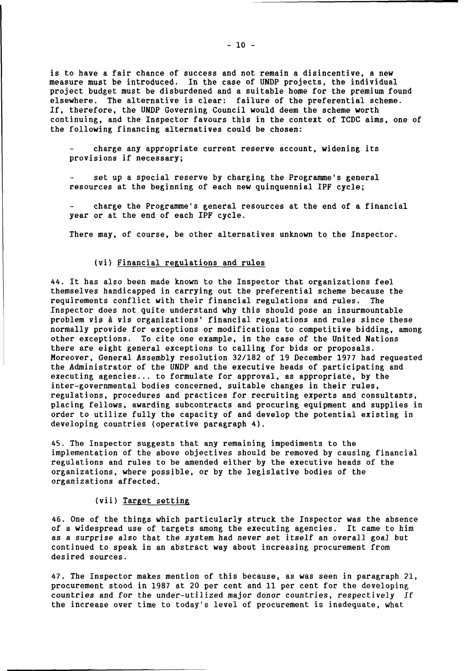is to have a fair chance of success and not remain a disincentive, a new measure must be introduced. In the case of UNDP projects, the individual project budget must be disburdened and a suitable home for the premium found elsewhere. The alternative is clear: failure of the preferential scheme. If, therefore, the UNDP Governing Council would deem the scheme worth continuing, and the Inspector favours this in the context of TCDC aims, one of the following financing alternatives could be chosen:

charge any appropriate current reserve account, widening its provisions if necessary;

set up a special reserve by charging the Programme's general resources at the beginning of each new quinquennial IPF cycle;

charge the Programme's general resources at the end of a financial year or at the end of each IPF cycle.

There may, of course, be other alternatives unknown to the Inspector.

# (vi) Financial regulations and rules

44. It has also been made known to the Inspector that organizations feel themselves handicapped in carrying out the preferential scheme because the requirements conflict with their financial regulations and rules. The Inspector does not quite understand why this should pose an insurmountable problem vis à vis organizations' financial regulations and rules since these normally provide for exceptions or modifications to competitive bidding, among other exceptions. To cite one example, in the case of the United Nations there are eight general exceptions to calling for bids or proposals. Moreover, General Assembly resolution 32/182 of 19 December 1977 had requested the Administrator of the UNDP and the executive heads of participating and executing agencies... to formulate for approval, as appropriate, by the inter-governmental bodies concerned, suitable changes in their rules, regulations, procedures and practices for recruiting experts and consultants, placing fellows, awarding subcontracts and procuring equipment and supplies in order to utilize fully the capacity of and develop the potential existing in developing countries (operative paragraph 4).

45. The Inspector suggests that any remaining impediments to the implementation of the above objectives should be removed by causing financial regulations and rules to be amended either by the executive heads of the organizations, where possible, or by the legislative bodies of the organizations affected.

# (vii) Target setting

46. One of the things which particularly struck the Inspector was the absence of a widespread use of targets among the executing agencies. It came to him as a surprise also that the system had never set itself an overall goaJ but continued to speak in an abstract way about increasing procurement from desired sources.

47. The Inspector makes mention of this because, as was seen in paragraph 21, procurement stood in 1987 at 20 per cent and 11 per cent for the developing countries and for the under-utilized major donor countries, respectively If the increase over time to today's level of procurement is inadequate, what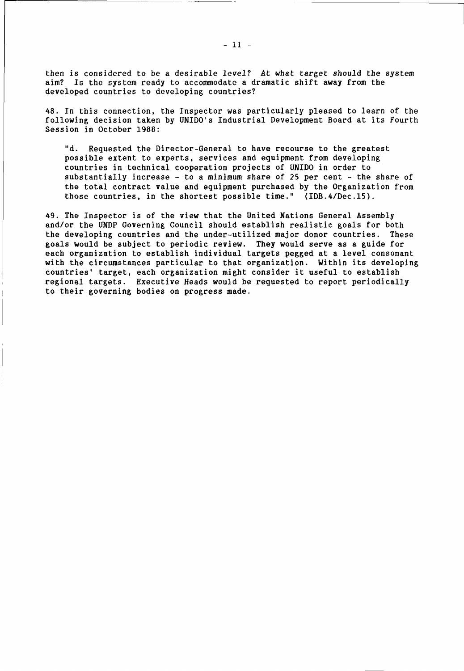then is considered to be a desirable level? At what target should the system aim? Is the system ready to accommodate a dramatic shift away from the developed countries to developing countries?

48. In this connection, the Inspector was particularly pleased to learn of the following decision taken by UNIDO's Industrial Development Board at its Fourth Session in October 1988:

"d. Requested the Director-General to have recourse to the greatest possible extent to experts, services and equipment from developing countries in technical cooperation projects of UNIDO in order to substantially increase - to a minimum share of 25 per cent - the share of the total contract value and equipment purchased by the Organization from those countries, in the shortest possible time." (IDB.4/Dec.l5).

49. The Inspector is of the view that the United Nations General Assembly and/or the UNDP Governing Council should establish realistic goals for both the developing countries and the under-utilized major donor countries. These goals would be subject to periodic review. They would serve as a guide for each organization to establish individual targets pegged at a level consonant with the circumstances particular to that organization. Within its developing countries' target, each organization might consider it useful to establish regional targets. Executive Heads would be requested to report periodically to their governing bodies on progress made.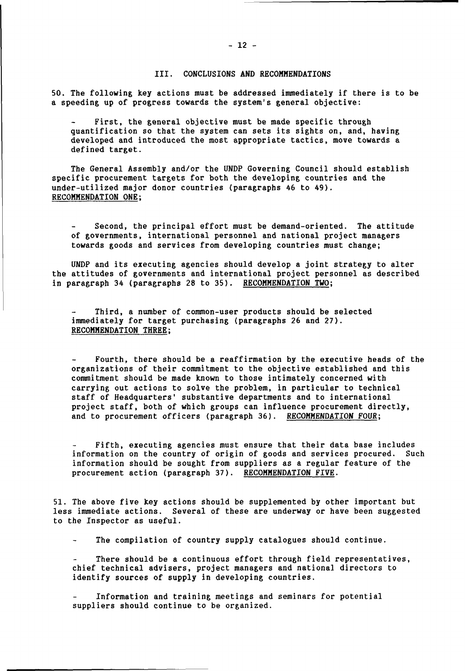# III. CONCLUSIONS AND RECOMMENDATIONS

50. The following key actions must be addressed immediately if there is to be a speeding up of progress towards the system's general objective:

First, the general objective must be made specific through quantification so that the system can sets its sights on, and, having developed and introduced the most appropriate tactics, move towards a defined target.

The General Assembly and/or the UNDP Governing Council should establish specific procurement targets for both the developing countries and the under-utilized major donor countries (paragraphs 46 to 49). RECOMMENDATION ONE;

Second, the principal effort must be demand-oriented. The attitude of governments, international personnel and national project managers towards goods and services from developing countries must change;

UNDP and its executing agencies should develop a joint strategy to alter the attitudes of governments and international project personnel as described in paragraph 34 (paragraphs 28 to 35). RECOMMENDATION TWO;

Third, a number of common-user products should be selected immediately for target purchasing (paragraphs 26 and 27). RECOMMENDATION THREE;

Fourth, there should be a reaffirmation by the executive heads of the organizations of their commitment to the objective established and this commitment should be made known to those intimately concerned with carrying out actions to solve the problem, in particular to technical staff of Headquarters' substantive departments and to international project staff, both of which groups can influence procurement directly, and to procurement officers (paragraph 36). RECOMMENDATION FOUR;

Fifth, executing agencies must ensure that their data base includes information on the country of origin of goods and services procured. Such information should be sought from suppliers as a regular feature of the procurement action (paragraph 37). RECOMMENDATION FIVE.

51. The above five key actions should be supplemented by other important but less immediate actions. Several of these are underway or have been suggested to the Inspector as useful.

The compilation of country supply catalogues should continue.

There should be a continuous effort through field representatives, chief technical advisers, project managers and national directors to identify sources of supply in developing countries.

Information and training meetings and seminars for potential suppliers should continue to be organized.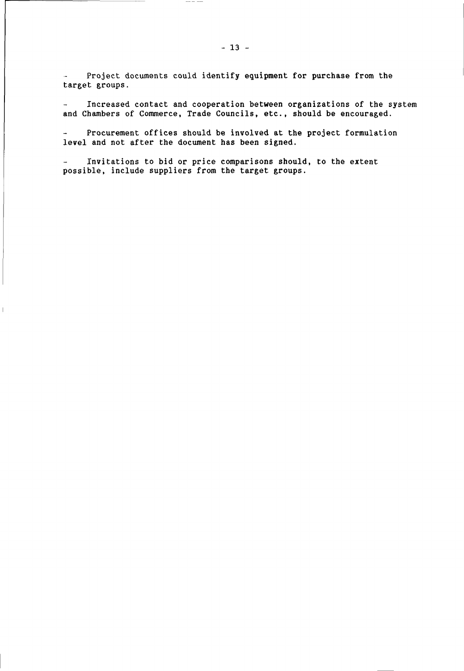Project documents could identify equipment for purchase from the target groups.

 $\cdots \cdots \cdots$ 

Increased contact and cooperation between organizations of the system  $\overline{\phantom{a}}$ and Chambers of Commerce, Trade Councils, etc., should be encouraged.

Procurement offices should be involved at the project formulation  $\sim$ level and not after the document has been signed.

Invitations to bid or price comparisons should, to the extent possible, include suppliers from the target groups.

 $\overline{\phantom{a}}$